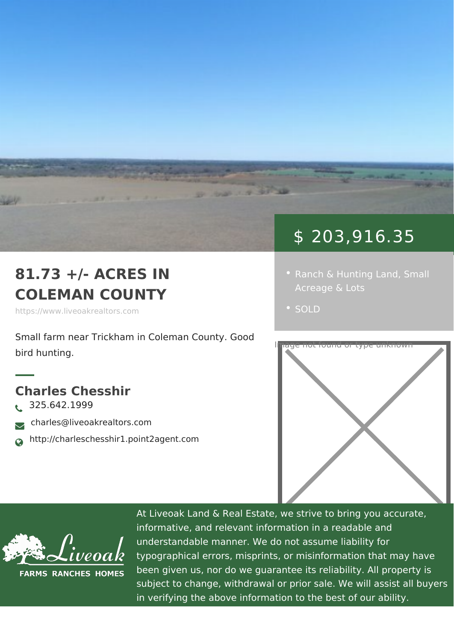## \$ 203,916.35

- [Ranch & Hunting](https://www.liveoakrealtors.com/es_category/ranch-hunting-land/) Suma bl
	-

## 81.73 +/- ACRES IN COLEMAN COUNTY

https://www.liveoakrealtors.com

Small farm near Trickham in Cole@mand County bird hunting.

Charles Chesshir  $\delta$ • 325.642.1999 <sub>ðà</sub> charles@liveoakrealtors.com ð¬ http://charleschesshir1.point2agent.com



At Liveoak Land & Real Estate, we strive to brin informative, and relevant information in a reada understandable manner. We do not assume liabil typographical errors, misprints, or misinformatic been given us, nor do we guarantee its reliabilit subject to change, withdrawal or prior sale. We in verifying the above information to the best of